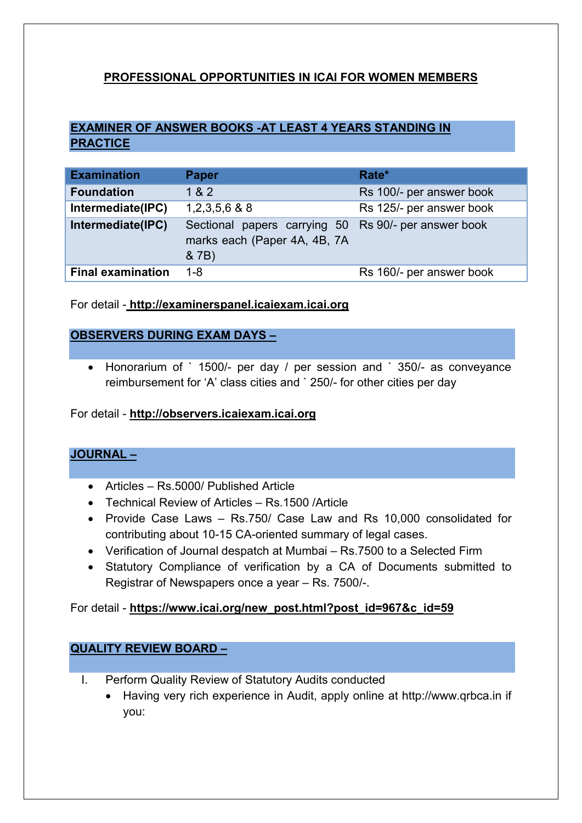## PROFESSIONAL OPPORTUNITIES IN ICAI FOR WOMEN MEMBERS

# EXAMINER OF ANSWER BOOKS -AT LEAST 4 YEARS STANDING IN **PRACTICE**

| <b>Examination</b>       | <b>Paper</b>                                                                                  | Rate*                    |
|--------------------------|-----------------------------------------------------------------------------------------------|--------------------------|
| <b>Foundation</b>        | 1 & 2                                                                                         | Rs 100/- per answer book |
| Intermediate(IPC)        | $1,2,3,5,6$ & 8                                                                               | Rs 125/- per answer book |
| Intermediate(IPC)        | Sectional papers carrying 50 Rs 90/- per answer book<br>marks each (Paper 4A, 4B, 7A<br>& 7B) |                          |
| <b>Final examination</b> | $1 - 8$                                                                                       | Rs 160/- per answer book |

For detail - [http://examinerspanel.icaiexam.icai.org](http://examinerspanel.icaiexam.icai.org/)

### OBSERVERS DURING EXAM DAYS –

 Honorarium of ` 1500/- per day / per session and ` 350/- as conveyance reimbursement for 'A' class cities and ` 250/- for other cities per day

#### For detail - [http://observers.icaiexam.icai.org](http://observers.icaiexam.icai.org/)

### JOURNAL –

- Articles Rs.5000/ Published Article
- Technical Review of Articles Rs 1500 /Article
- Provide Case Laws Rs.750/ Case Law and Rs 10,000 consolidated for contributing about 10-15 CA-oriented summary of legal cases.
- Verification of Journal despatch at Mumbai Rs.7500 to a Selected Firm
- Statutory Compliance of verification by a CA of Documents submitted to Registrar of Newspapers once a year – Rs. 7500/-.

#### For detail - https://www.icai.org/new\_post.html?post\_id=967&c\_id=59

### QUALITY REVIEW BOARD –

- I. Perform Quality Review of Statutory Audits conducted
	- Having very rich experience in Audit, apply online at http://www.qrbca.in if you: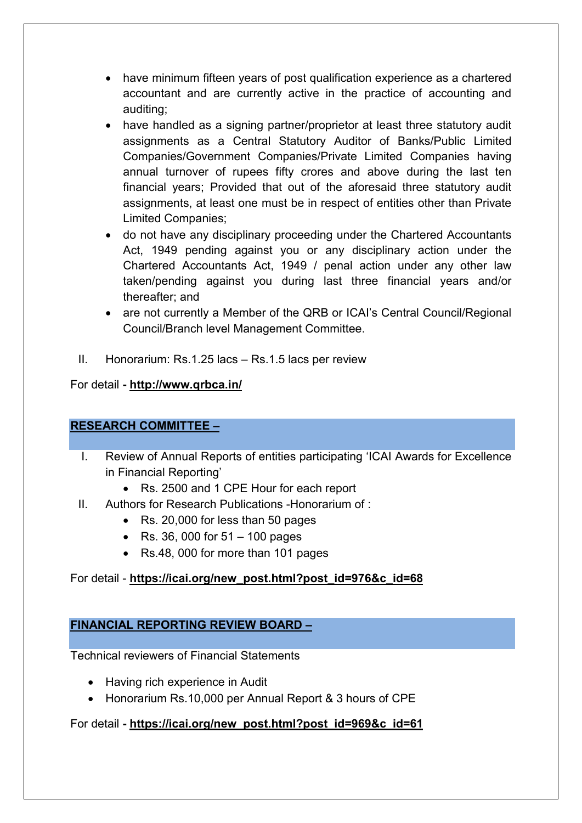- have minimum fifteen years of post qualification experience as a chartered accountant and are currently active in the practice of accounting and auditing;
- have handled as a signing partner/proprietor at least three statutory audit assignments as a Central Statutory Auditor of Banks/Public Limited Companies/Government Companies/Private Limited Companies having annual turnover of rupees fifty crores and above during the last ten financial years; Provided that out of the aforesaid three statutory audit assignments, at least one must be in respect of entities other than Private Limited Companies;
- do not have any disciplinary proceeding under the Chartered Accountants Act, 1949 pending against you or any disciplinary action under the Chartered Accountants Act, 1949 / penal action under any other law taken/pending against you during last three financial years and/or thereafter; and
- are not currently a Member of the QRB or ICAI's Central Council/Regional Council/Branch level Management Committee.
- II. Honorarium: Rs.1.25 lacs Rs.1.5 lacs per review

### For detail - <http://www.qrbca.in/>

## RESEARCH COMMITTEE –

- I. Review of Annual Reports of entities participating 'ICAI Awards for Excellence in Financial Reporting'
	- Rs. 2500 and 1 CPE Hour for each report
- II. Authors for Research Publications -Honorarium of :
	- Rs. 20,000 for less than 50 pages
	- Rs. 36, 000 for  $51 100$  pages
	- Rs.48, 000 for more than 101 pages

## For detail - https://icai.org/new\_post.html?post\_id=976&c\_id=68

## FINANCIAL REPORTING REVIEW BOARD –

Technical reviewers of Financial Statements

- Having rich experience in Audit
- Honorarium Rs.10,000 per Annual Report & 3 hours of CPE

For detail - https://icai.org/new\_post.html?post\_id=969&c\_id=61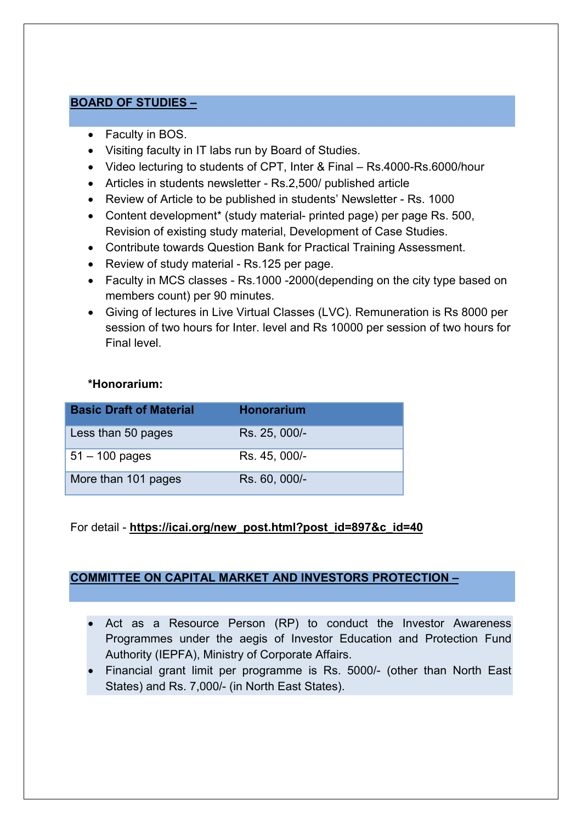### BOARD OF STUDIES –

- Faculty in BOS.
- Visiting faculty in IT labs run by Board of Studies.
- Video lecturing to students of CPT, Inter & Final Rs.4000-Rs.6000/hour
- Articles in students newsletter Rs.2,500/ published article
- Review of Article to be published in students' Newsletter Rs. 1000
- Content development\* (study material- printed page) per page Rs. 500, Revision of existing study material, Development of Case Studies.
- Contribute towards Question Bank for Practical Training Assessment.
- Review of study material Rs.125 per page.
- Faculty in MCS classes Rs.1000 -2000(depending on the city type based on members count) per 90 minutes.
- Giving of lectures in Live Virtual Classes (LVC). Remuneration is Rs 8000 per session of two hours for Inter. level and Rs 10000 per session of two hours for Final level.

### \*Honorarium:

| <b>Basic Draft of Material</b> | <b>Honorarium</b> |
|--------------------------------|-------------------|
| Less than 50 pages             | Rs. 25, 000/-     |
| $51 - 100$ pages               | Rs. 45, 000/-     |
| More than 101 pages            | Rs. 60, 000/-     |

## For detail - https://icai.org/new\_post.html?post\_id=897&c\_id=40

### COMMITTEE ON CAPITAL MARKET AND INVESTORS PROTECTION –

- Act as a Resource Person (RP) to conduct the Investor Awareness Programmes under the aegis of Investor Education and Protection Fund Authority (IEPFA), Ministry of Corporate Affairs.
- Financial grant limit per programme is Rs. 5000/- (other than North East States) and Rs. 7,000/- (in North East States).